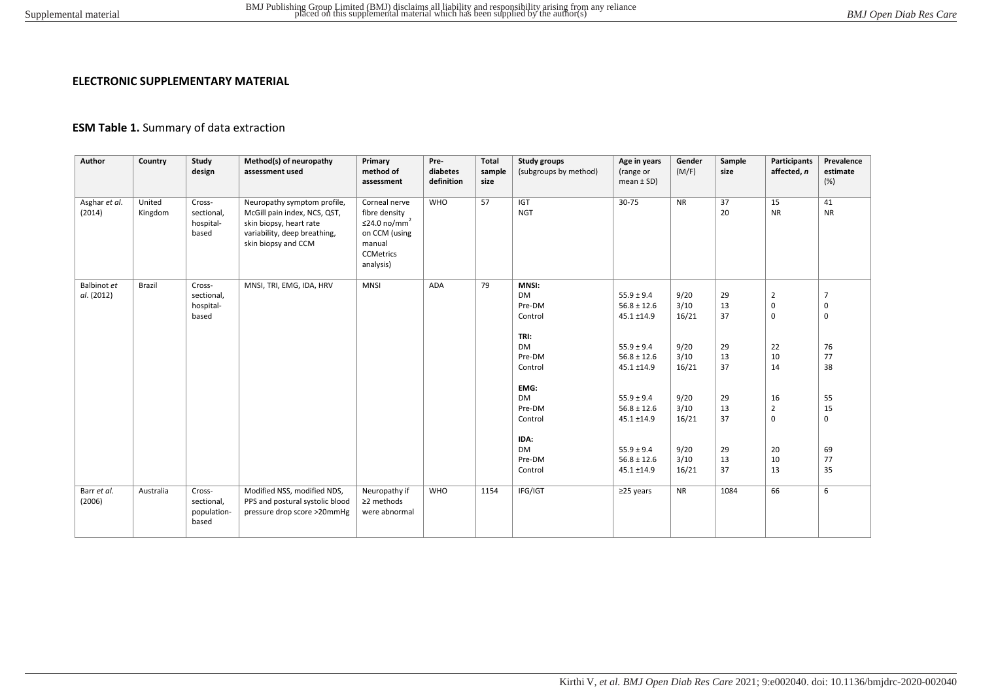## **ELECTRONIC SUPPLEMENTARY MATERIAL**

## **ESM Table 1.** Summary of data extraction

| Author                    | Country           | Study<br>design                              | Method(s) of neuropathy<br>assessment used                                                                                                    | Primary<br>method of<br>assessment                                                                                     | Pre-<br>diabetes<br>definition | <b>Total</b><br>sample<br>size | Study groups<br>(subgroups by method)                  | Age in years<br>(range or<br>mean $\pm$ SD)     | Gender<br>(M/F)       | Sample<br>size | Participants<br>affected, n                  | Prevalence<br>estimate<br>(%) |
|---------------------------|-------------------|----------------------------------------------|-----------------------------------------------------------------------------------------------------------------------------------------------|------------------------------------------------------------------------------------------------------------------------|--------------------------------|--------------------------------|--------------------------------------------------------|-------------------------------------------------|-----------------------|----------------|----------------------------------------------|-------------------------------|
| Asghar et al.<br>(2014)   | United<br>Kingdom | Cross-<br>sectional,<br>hospital-<br>based   | Neuropathy symptom profile,<br>McGill pain index, NCS, QST,<br>skin biopsy, heart rate<br>variability, deep breathing,<br>skin biopsy and CCM | Corneal nerve<br>fibre density<br>≤24.0 no/mm <sup>2</sup><br>on CCM (using<br>manual<br><b>CCMetrics</b><br>analysis) | <b>WHO</b>                     | 57                             | <b>IGT</b><br><b>NGT</b>                               | $30 - 75$                                       | <b>NR</b>             | 37<br>20       | 15<br><b>NR</b>                              | 41<br><b>NR</b>               |
| Balbinot et<br>al. (2012) | Brazil            | Cross-<br>sectional,<br>hospital-<br>based   | MNSI, TRI, EMG, IDA, HRV                                                                                                                      | <b>MNSI</b>                                                                                                            | <b>ADA</b>                     | 79                             | <b>MNSI:</b><br><b>DM</b><br>Pre-DM<br>Control<br>TRI: | $55.9 \pm 9.4$<br>$56.8 \pm 12.6$<br>45.1 ±14.9 | 9/20<br>3/10<br>16/21 | 29<br>13<br>37 | $\overline{2}$<br>$\mathbf 0$<br>$\mathbf 0$ | $\overline{7}$<br>0<br>0      |
|                           |                   |                                              |                                                                                                                                               |                                                                                                                        |                                |                                | <b>DM</b><br>Pre-DM<br>Control                         | $55.9 \pm 9.4$<br>$56.8 \pm 12.6$<br>45.1 ±14.9 | 9/20<br>3/10<br>16/21 | 29<br>13<br>37 | 22<br>10<br>14                               | 76<br>77<br>38                |
|                           |                   |                                              |                                                                                                                                               |                                                                                                                        |                                |                                | EMG:<br><b>DM</b><br>Pre-DM<br>Control                 | $55.9 \pm 9.4$<br>$56.8 \pm 12.6$<br>45.1 ±14.9 | 9/20<br>3/10<br>16/21 | 29<br>13<br>37 | 16<br>$\overline{2}$<br>$\mathbf 0$          | 55<br>15<br>0                 |
|                           |                   |                                              |                                                                                                                                               |                                                                                                                        |                                |                                | IDA:<br><b>DM</b><br>Pre-DM<br>Control                 | $55.9 \pm 9.4$<br>$56.8 \pm 12.6$<br>45.1 ±14.9 | 9/20<br>3/10<br>16/21 | 29<br>13<br>37 | 20<br>10<br>13                               | 69<br>77<br>35                |
| Barr et al.<br>(2006)     | Australia         | Cross-<br>sectional,<br>population-<br>based | Modified NSS, modified NDS,<br>PPS and postural systolic blood<br>pressure drop score >20mmHg                                                 | Neuropathy if<br>≥2 methods<br>were abnormal                                                                           | <b>WHO</b>                     | 1154                           | IFG/IGT                                                | $\geq$ 25 years                                 | <b>NR</b>             | 1084           | 66                                           | 6                             |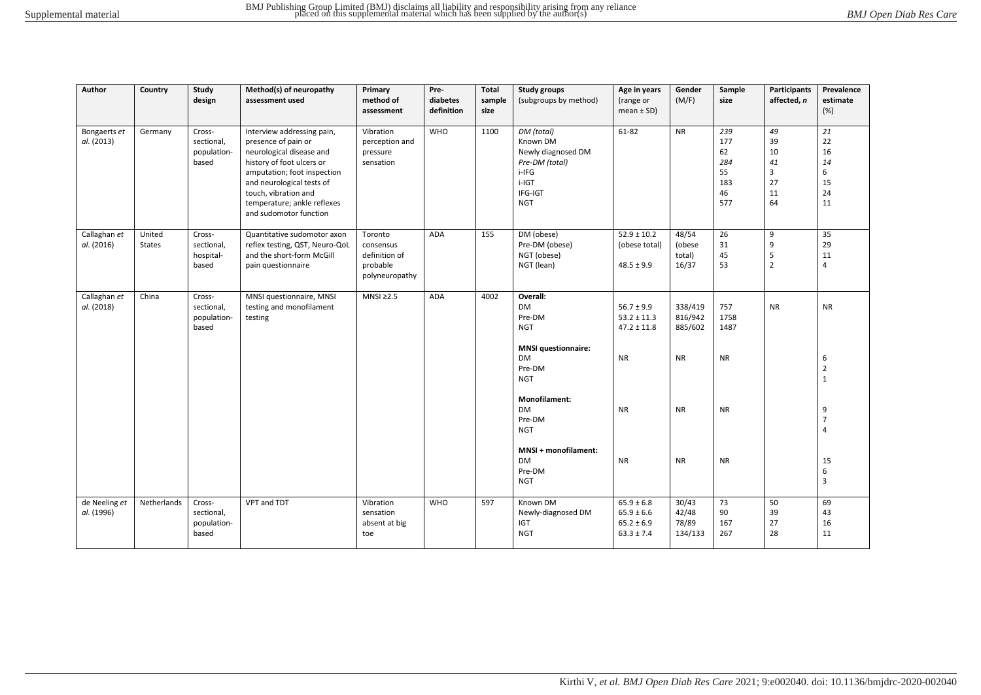| Author                      | Country                 | Study<br>design                              | Method(s) of neuropathy<br>assessment used                                                                                                                                                                                                              | Primary<br>method of<br>assessment                                  | Pre-<br>diabetes<br>definition | <b>Total</b><br>sample<br>size | <b>Study groups</b><br>(subgroups by method)                                                              | Age in years<br>(range or<br>mean $\pm$ SD)                          | Gender<br>(M/F)                    | Sample<br>size                                    | Participants<br>affected, n                 | Prevalence<br>estimate<br>(%)               |
|-----------------------------|-------------------------|----------------------------------------------|---------------------------------------------------------------------------------------------------------------------------------------------------------------------------------------------------------------------------------------------------------|---------------------------------------------------------------------|--------------------------------|--------------------------------|-----------------------------------------------------------------------------------------------------------|----------------------------------------------------------------------|------------------------------------|---------------------------------------------------|---------------------------------------------|---------------------------------------------|
| Bongaerts et<br>al. (2013)  | Germany                 | Cross-<br>sectional,<br>population-<br>based | Interview addressing pain,<br>presence of pain or<br>neurological disease and<br>history of foot ulcers or<br>amputation; foot inspection<br>and neurological tests of<br>touch, vibration and<br>temperature; ankle reflexes<br>and sudomotor function | Vibration<br>perception and<br>pressure<br>sensation                | <b>WHO</b>                     | 1100                           | DM (total)<br>Known DM<br>Newly diagnosed DM<br>Pre-DM (total)<br>i-IFG<br>i-IGT<br>IFG-IGT<br><b>NGT</b> | 61-82                                                                | <b>NR</b>                          | 239<br>177<br>62<br>284<br>55<br>183<br>46<br>577 | 49<br>39<br>10<br>41<br>3<br>27<br>11<br>64 | 21<br>22<br>16<br>14<br>6<br>15<br>24<br>11 |
| Callaghan et<br>al. (2016)  | United<br><b>States</b> | Cross-<br>sectional,<br>hospital-<br>based   | Quantitative sudomotor axon<br>reflex testing, QST, Neuro-QoL<br>and the short-form McGill<br>pain questionnaire                                                                                                                                        | Toronto<br>consensus<br>definition of<br>probable<br>polyneuropathy | ADA                            | 155                            | DM (obese)<br>Pre-DM (obese)<br>NGT (obese)<br>NGT (lean)                                                 | $52.9 \pm 10.2$<br>(obese total)<br>$48.5 \pm 9.9$                   | 48/54<br>(obese<br>total)<br>16/37 | 26<br>31<br>45<br>53                              | 9<br>9<br>5<br>$\overline{2}$               | 35<br>29<br>11<br>$\overline{4}$            |
| Callaghan et<br>al. (2018)  | China                   | Cross-<br>sectional,<br>population-<br>based | MNSI questionnaire, MNSI<br>testing and monofilament<br>testing                                                                                                                                                                                         | $MNSI \geq 2.5$                                                     | ADA                            | 4002                           | Overall:<br><b>DM</b><br>Pre-DM<br><b>NGT</b>                                                             | $56.7 \pm 9.9$<br>$53.2 \pm 11.3$<br>$47.2 \pm 11.8$                 | 338/419<br>816/942<br>885/602      | 757<br>1758<br>1487                               | <b>NR</b>                                   | <b>NR</b>                                   |
|                             |                         |                                              |                                                                                                                                                                                                                                                         |                                                                     |                                |                                | <b>MNSI</b> questionnaire:<br>DM<br>Pre-DM<br><b>NGT</b>                                                  | <b>NR</b>                                                            | <b>NR</b>                          | <b>NR</b>                                         |                                             | 6<br>$\overline{2}$<br>$\mathbf{1}$         |
|                             |                         |                                              |                                                                                                                                                                                                                                                         |                                                                     |                                |                                | Monofilament:<br><b>DM</b><br>Pre-DM<br><b>NGT</b>                                                        | <b>NR</b>                                                            | <b>NR</b>                          | <b>NR</b>                                         |                                             | 9<br>$\overline{7}$<br>$\overline{4}$       |
|                             |                         |                                              |                                                                                                                                                                                                                                                         |                                                                     |                                |                                | MNSI + monofilament:<br><b>DM</b><br>Pre-DM<br><b>NGT</b>                                                 | <b>NR</b>                                                            | <b>NR</b>                          | <b>NR</b>                                         |                                             | 15<br>6<br>$\overline{3}$                   |
| de Neeling et<br>al. (1996) | Netherlands             | Cross-<br>sectional,<br>population-<br>based | VPT and TDT                                                                                                                                                                                                                                             | Vibration<br>sensation<br>absent at big<br>toe                      | <b>WHO</b>                     | 597                            | Known DM<br>Newly-diagnosed DM<br>IGT<br><b>NGT</b>                                                       | $65.9 \pm 6.8$<br>$65.9 \pm 6.6$<br>$65.2 \pm 6.9$<br>$63.3 \pm 7.4$ | 30/43<br>42/48<br>78/89<br>134/133 | 73<br>90<br>167<br>267                            | 50<br>39<br>27<br>28                        | 69<br>43<br>16<br>11                        |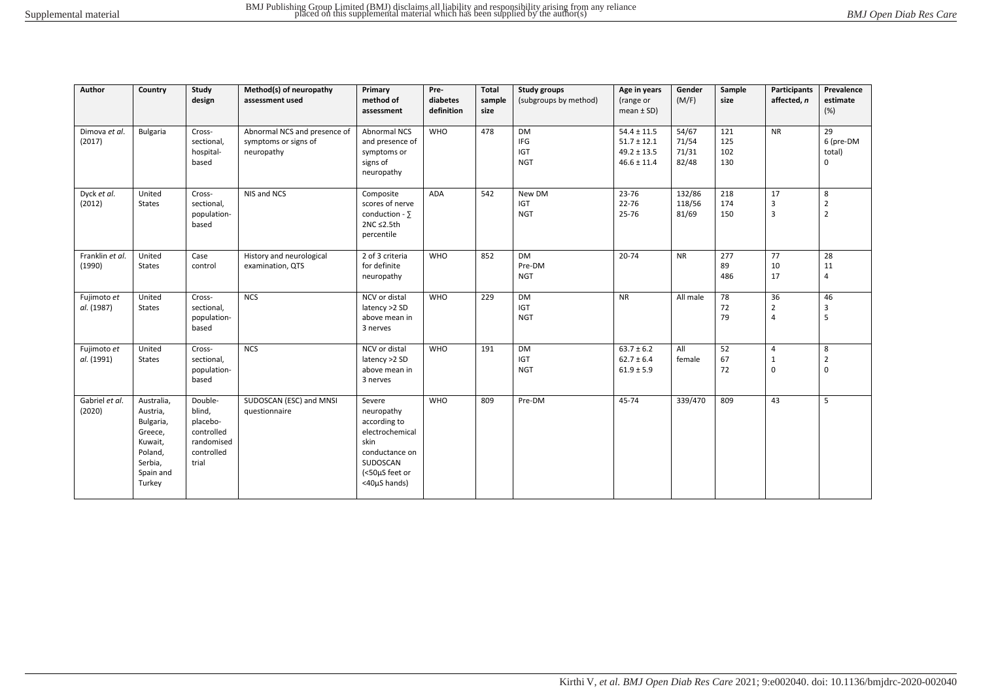| Author                    | Country                                                                                                | Study<br>design                                                                  | Method(s) of neuropathy<br>assessment used                         | Primary<br>method of<br>assessment                                                                                              | Pre-<br>diabetes<br>definition | <b>Total</b><br>sample<br>size | <b>Study groups</b><br>(subgroups by method) | Age in years<br>(range or<br>$mean \pm SD$                               | Gender<br>(M/F)                  | Sample<br>size           | Participants<br>affected, n      | Prevalence<br>estimate<br>(%)            |
|---------------------------|--------------------------------------------------------------------------------------------------------|----------------------------------------------------------------------------------|--------------------------------------------------------------------|---------------------------------------------------------------------------------------------------------------------------------|--------------------------------|--------------------------------|----------------------------------------------|--------------------------------------------------------------------------|----------------------------------|--------------------------|----------------------------------|------------------------------------------|
| Dimova et al.<br>(2017)   | <b>Bulgaria</b>                                                                                        | Cross-<br>sectional,<br>hospital-<br>based                                       | Abnormal NCS and presence of<br>symptoms or signs of<br>neuropathy | <b>Abnormal NCS</b><br>and presence of<br>symptoms or<br>signs of<br>neuropathy                                                 | <b>WHO</b>                     | 478                            | DM<br>IFG<br><b>IGT</b><br><b>NGT</b>        | $54.4 \pm 11.5$<br>$51.7 \pm 12.1$<br>$49.2 \pm 13.5$<br>$46.6 \pm 11.4$ | 54/67<br>71/54<br>71/31<br>82/48 | 121<br>125<br>102<br>130 | <b>NR</b>                        | 29<br>6 (pre-DM<br>total)<br>$\mathbf 0$ |
| Dyck et al.<br>(2012)     | United<br><b>States</b>                                                                                | Cross-<br>sectional,<br>population-<br>based                                     | NIS and NCS                                                        | Composite<br>scores of nerve<br>conduction - $\Sigma$<br>2NC ≤2.5th<br>percentile                                               | <b>ADA</b>                     | 542                            | New DM<br><b>IGT</b><br><b>NGT</b>           | 23-76<br>22-76<br>25-76                                                  | 132/86<br>118/56<br>81/69        | 218<br>174<br>150        | 17<br>3<br>3                     | 8<br>$\overline{2}$<br>$\overline{2}$    |
| Franklin et al.<br>(1990) | United<br><b>States</b>                                                                                | Case<br>control                                                                  | History and neurological<br>examination, QTS                       | 2 of 3 criteria<br>for definite<br>neuropathy                                                                                   | <b>WHO</b>                     | 852                            | <b>DM</b><br>Pre-DM<br><b>NGT</b>            | $20 - 74$                                                                | <b>NR</b>                        | 277<br>89<br>486         | 77<br>10<br>17                   | 28<br>11<br>$\overline{4}$               |
| Fujimoto et<br>al. (1987) | United<br><b>States</b>                                                                                | Cross-<br>sectional,<br>population-<br>based                                     | <b>NCS</b>                                                         | NCV or distal<br>latency >2 SD<br>above mean in<br>3 nerves                                                                     | <b>WHO</b>                     | 229                            | DM<br><b>IGT</b><br><b>NGT</b>               | <b>NR</b>                                                                | All male                         | 78<br>72<br>79           | 36<br>$\overline{2}$<br>4        | 46<br>3<br>5                             |
| Fujimoto et<br>al. (1991) | United<br><b>States</b>                                                                                | Cross-<br>sectional,<br>population-<br>based                                     | <b>NCS</b>                                                         | NCV or distal<br>latency >2 SD<br>above mean in<br>3 nerves                                                                     | <b>WHO</b>                     | 191                            | <b>DM</b><br><b>IGT</b><br><b>NGT</b>        | $63.7 \pm 6.2$<br>$62.7 \pm 6.4$<br>$61.9 \pm 5.9$                       | All<br>female                    | 52<br>67<br>72           | 4<br>$\mathbf{1}$<br>$\mathbf 0$ | 8<br>$\overline{2}$<br>$\mathbf 0$       |
| Gabriel et al.<br>(2020)  | Australia,<br>Austria,<br>Bulgaria,<br>Greece,<br>Kuwait,<br>Poland,<br>Serbia,<br>Spain and<br>Turkey | Double-<br>blind,<br>placebo-<br>controlled<br>randomised<br>controlled<br>trial | SUDOSCAN (ESC) and MNSI<br>questionnaire                           | Severe<br>neuropathy<br>according to<br>electrochemical<br>skin<br>conductance on<br>SUDOSCAN<br>(<50µS feet or<br><40µS hands) | <b>WHO</b>                     | 809                            | Pre-DM                                       | 45-74                                                                    | 339/470                          | 809                      | 43                               | 5                                        |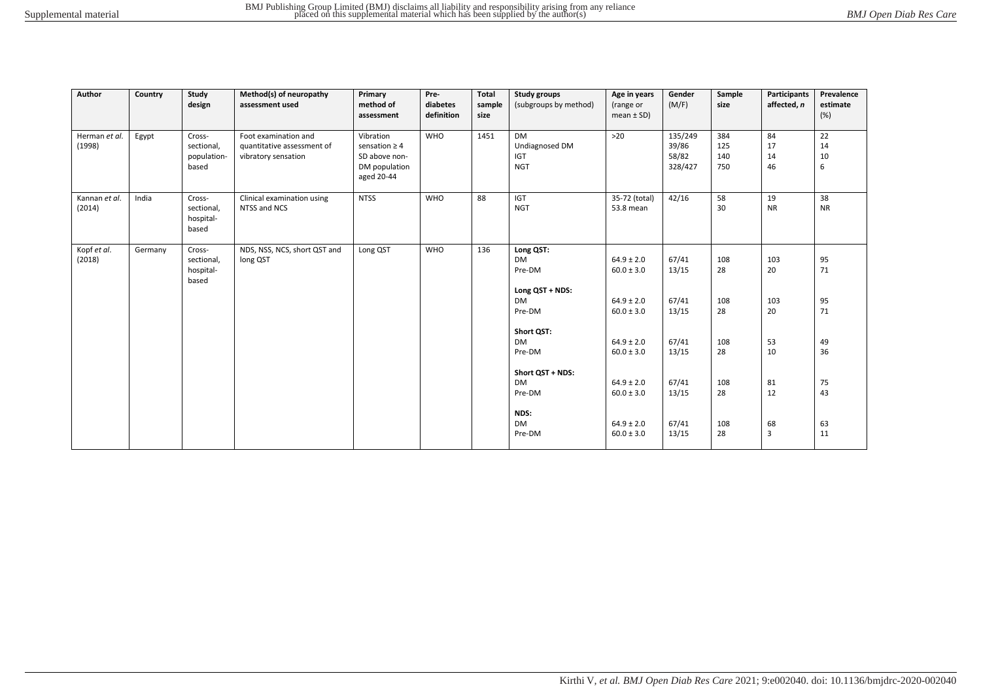| Author                  | Country | Study<br>design                              | Method(s) of neuropathy<br>assessment used                                | Primary<br>method of<br>assessment                                              | Pre-<br>diabetes<br>definition | <b>Total</b><br>sample<br>size | <b>Study groups</b><br>(subgroups by method)                     | Age in years<br>(range or<br>mean $\pm$ SD)        | Gender<br>(M/F)                      | Sample<br>size           | <b>Participants</b><br>affected, n | Prevalence<br>estimate<br>(%) |
|-------------------------|---------|----------------------------------------------|---------------------------------------------------------------------------|---------------------------------------------------------------------------------|--------------------------------|--------------------------------|------------------------------------------------------------------|----------------------------------------------------|--------------------------------------|--------------------------|------------------------------------|-------------------------------|
| Herman et al.<br>(1998) | Egypt   | Cross-<br>sectional,<br>population-<br>based | Foot examination and<br>quantitative assessment of<br>vibratory sensation | Vibration<br>sensation $\geq 4$<br>SD above non-<br>DM population<br>aged 20-44 | <b>WHO</b>                     | 1451                           | <b>DM</b><br>Undiagnosed DM<br>IGT<br><b>NGT</b>                 | $>20$                                              | 135/249<br>39/86<br>58/82<br>328/427 | 384<br>125<br>140<br>750 | 84<br>17<br>14<br>46               | 22<br>14<br>10<br>6           |
| Kannan et al.<br>(2014) | India   | Cross-<br>sectional,<br>hospital-<br>based   | Clinical examination using<br>NTSS and NCS                                | <b>NTSS</b>                                                                     | <b>WHO</b>                     | 88                             | <b>IGT</b><br><b>NGT</b>                                         | 35-72 (total)<br>53.8 mean                         | 42/16                                | 58<br>30                 | 19<br><b>NR</b>                    | 38<br><b>NR</b>               |
| Kopf et al.<br>(2018)   | Germany | Cross-<br>sectional,<br>hospital-<br>based   | NDS, NSS, NCS, short QST and<br>long QST                                  | Long QST                                                                        | <b>WHO</b>                     | 136                            | Long QST:<br><b>DM</b><br>Pre-DM<br>Long QST + NDS:<br><b>DM</b> | $64.9 \pm 2.0$<br>$60.0 \pm 3.0$<br>$64.9 \pm 2.0$ | 67/41<br>13/15<br>67/41              | 108<br>28<br>108         | 103<br>20<br>103                   | 95<br>71<br>95                |
|                         |         |                                              |                                                                           |                                                                                 |                                |                                | Pre-DM<br>Short QST:<br><b>DM</b><br>Pre-DM                      | $60.0 \pm 3.0$<br>$64.9 \pm 2.0$<br>$60.0 \pm 3.0$ | 13/15<br>67/41<br>13/15              | 28<br>108<br>28          | 20<br>53<br>10                     | 71<br>49<br>36                |
|                         |         |                                              |                                                                           |                                                                                 |                                |                                | Short QST + NDS:<br><b>DM</b><br>Pre-DM<br>NDS:                  | $64.9 \pm 2.0$<br>$60.0 \pm 3.0$                   | 67/41<br>13/15                       | 108<br>28                | 81<br>12                           | 75<br>43                      |
|                         |         |                                              |                                                                           |                                                                                 |                                |                                | <b>DM</b><br>Pre-DM                                              | $64.9 \pm 2.0$<br>$60.0 \pm 3.0$                   | 67/41<br>13/15                       | 108<br>28                | 68<br>$\overline{3}$               | 63<br>11                      |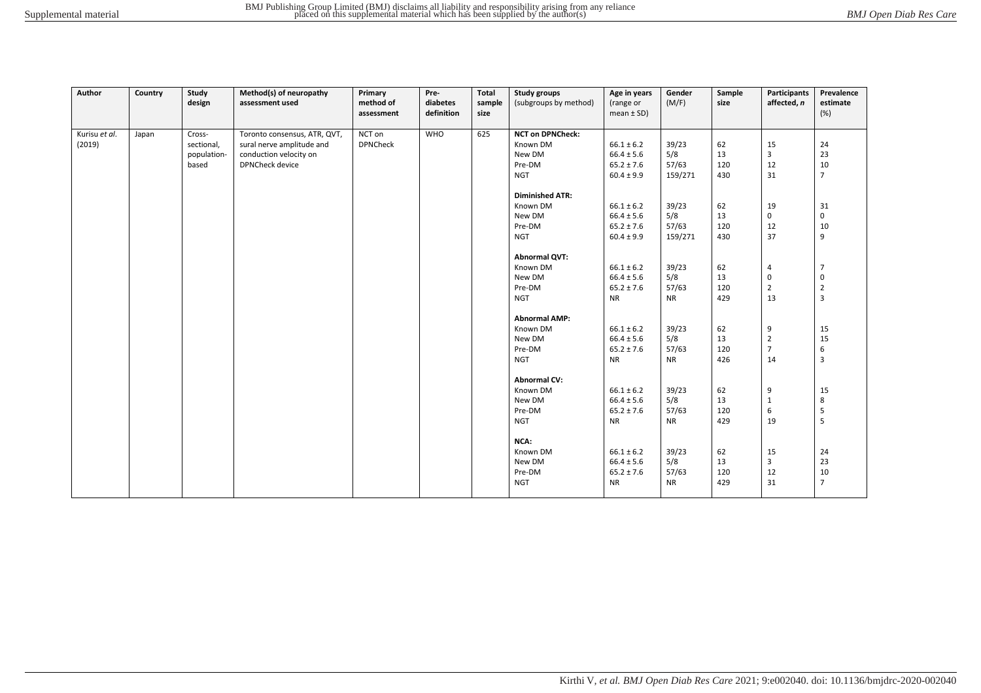| Author        | Country | Study<br>design | Method(s) of neuropathy<br>assessment used | Primary<br>method of | Pre-<br>diabetes | Total<br>sample | Study groups<br>(subgroups by method) | Age in years<br>(range or | Gender<br>(M/F) | Sample<br>size | Participants<br>affected, n | Prevalence<br>estimate  |
|---------------|---------|-----------------|--------------------------------------------|----------------------|------------------|-----------------|---------------------------------------|---------------------------|-----------------|----------------|-----------------------------|-------------------------|
|               |         |                 |                                            | assessment           | definition       | size            |                                       | $mean \pm SD$ )           |                 |                |                             | (%)                     |
| Kurisu et al. | Japan   | Cross-          | Toronto consensus, ATR, QVT,               | NCT on               | <b>WHO</b>       | 625             | <b>NCT on DPNCheck:</b>               |                           |                 |                |                             |                         |
| (2019)        |         | sectional,      | sural nerve amplitude and                  | <b>DPNCheck</b>      |                  |                 | Known DM                              | $66.1 \pm 6.2$            | 39/23           | 62             | 15                          | 24                      |
|               |         | population-     | conduction velocity on                     |                      |                  |                 | New DM                                | $66.4 \pm 5.6$            | 5/8             | 13             | 3                           | 23                      |
|               |         | based           | <b>DPNCheck device</b>                     |                      |                  |                 | Pre-DM                                | $65.2 \pm 7.6$            | 57/63           | 120            | 12                          | 10                      |
|               |         |                 |                                            |                      |                  |                 | <b>NGT</b>                            | $60.4 \pm 9.9$            | 159/271         | 430            | 31                          | $\overline{7}$          |
|               |         |                 |                                            |                      |                  |                 | <b>Diminished ATR:</b>                |                           |                 |                |                             |                         |
|               |         |                 |                                            |                      |                  |                 | Known DM                              | $66.1 \pm 6.2$            | 39/23           | 62             | 19                          | 31                      |
|               |         |                 |                                            |                      |                  |                 | New DM                                | $66.4 \pm 5.6$            | 5/8             | 13             | $\Omega$                    | 0                       |
|               |         |                 |                                            |                      |                  |                 | Pre-DM                                | $65.2 \pm 7.6$            | 57/63           | 120            | 12                          | 10                      |
|               |         |                 |                                            |                      |                  |                 | <b>NGT</b>                            | $60.4 \pm 9.9$            | 159/271         | 430            | 37                          | 9                       |
|               |         |                 |                                            |                      |                  |                 | <b>Abnormal QVT:</b>                  |                           |                 |                |                             |                         |
|               |         |                 |                                            |                      |                  |                 | Known DM                              | $66.1 \pm 6.2$            | 39/23           | 62             | $\overline{4}$              | 7                       |
|               |         |                 |                                            |                      |                  |                 | New DM                                | $66.4 \pm 5.6$            | 5/8             | 13             | $\mathbf 0$                 | 0                       |
|               |         |                 |                                            |                      |                  |                 | Pre-DM                                | $65.2 \pm 7.6$            | 57/63           | 120            | $\overline{2}$              | $\overline{2}$          |
|               |         |                 |                                            |                      |                  |                 | <b>NGT</b>                            | <b>NR</b>                 | <b>NR</b>       | 429            | 13                          | $\overline{\mathbf{3}}$ |
|               |         |                 |                                            |                      |                  |                 | <b>Abnormal AMP:</b>                  |                           |                 |                |                             |                         |
|               |         |                 |                                            |                      |                  |                 | Known DM                              | $66.1 \pm 6.2$            | 39/23           | 62             | 9                           | 15                      |
|               |         |                 |                                            |                      |                  |                 | New DM                                | $66.4 \pm 5.6$            | 5/8             | 13             | $\overline{2}$              | 15                      |
|               |         |                 |                                            |                      |                  |                 | Pre-DM                                | $65.2 \pm 7.6$            | 57/63           | 120            | $\overline{7}$              | 6                       |
|               |         |                 |                                            |                      |                  |                 | <b>NGT</b>                            | <b>NR</b>                 | <b>NR</b>       | 426            | 14                          | $\overline{\mathbf{3}}$ |
|               |         |                 |                                            |                      |                  |                 | <b>Abnormal CV:</b>                   |                           |                 |                |                             |                         |
|               |         |                 |                                            |                      |                  |                 | Known DM                              | $66.1 \pm 6.2$            | 39/23           | 62             | 9                           | 15                      |
|               |         |                 |                                            |                      |                  |                 | New DM                                | $66.4 \pm 5.6$            | 5/8             | 13             | 1                           | 8                       |
|               |         |                 |                                            |                      |                  |                 | Pre-DM                                | $65.2 \pm 7.6$            | 57/63           | 120            | 6                           | 5                       |
|               |         |                 |                                            |                      |                  |                 | <b>NGT</b>                            | <b>NR</b>                 | <b>NR</b>       | 429            | 19                          | 5                       |
|               |         |                 |                                            |                      |                  |                 | NCA:                                  |                           |                 |                |                             |                         |
|               |         |                 |                                            |                      |                  |                 | Known DM                              | $66.1 \pm 6.2$            | 39/23           | 62             | 15                          | 24                      |
|               |         |                 |                                            |                      |                  |                 | New DM                                | $66.4 \pm 5.6$            | 5/8             | 13             | 3                           | 23                      |
|               |         |                 |                                            |                      |                  |                 | Pre-DM                                | $65.2 \pm 7.6$            | 57/63           | 120            | 12                          | $10\,$                  |
|               |         |                 |                                            |                      |                  |                 | <b>NGT</b>                            | <b>NR</b>                 | <b>NR</b>       | 429            | 31                          | $\overline{7}$          |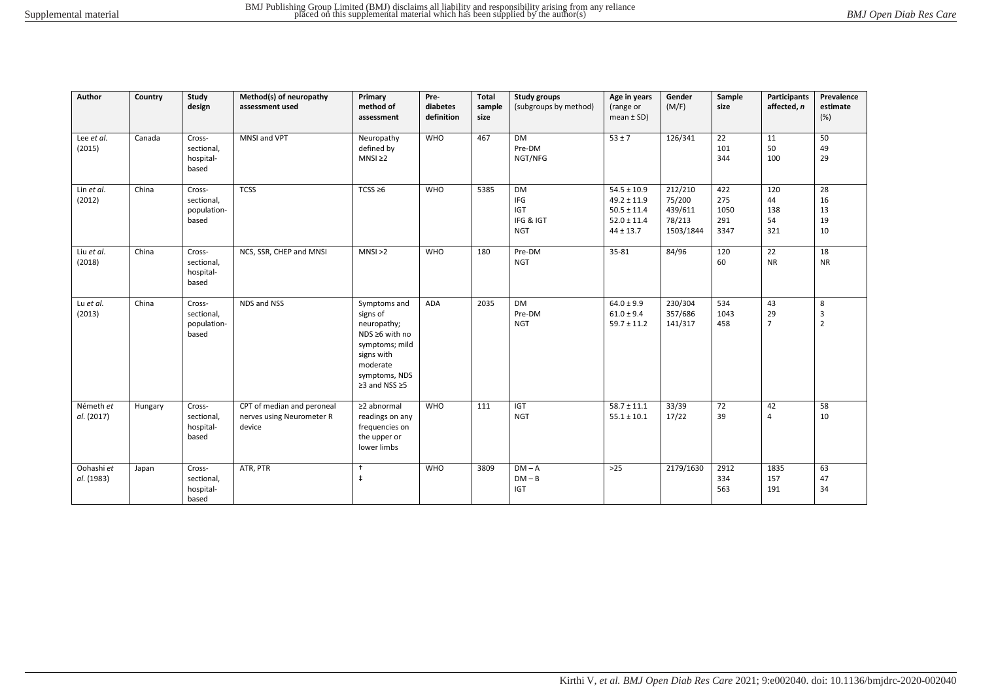| Author                   | Country | Study<br>design                              | Method(s) of neuropathy<br>assessment used                        | Primary<br>method of<br>assessment                                                                                                      | Pre-<br>diabetes<br>definition | <b>Total</b><br>sample<br>size | <b>Study groups</b><br>(subgroups by method)              | Age in years<br>(range or<br>$mean \pm SD$ )                                              | Gender<br>(M/F)                                     | Sample<br>size                    | Participants<br>affected, n   | Prevalence<br>estimate<br>(%) |
|--------------------------|---------|----------------------------------------------|-------------------------------------------------------------------|-----------------------------------------------------------------------------------------------------------------------------------------|--------------------------------|--------------------------------|-----------------------------------------------------------|-------------------------------------------------------------------------------------------|-----------------------------------------------------|-----------------------------------|-------------------------------|-------------------------------|
| Lee et al.<br>(2015)     | Canada  | Cross-<br>sectional,<br>hospital-<br>based   | MNSI and VPT                                                      | Neuropathy<br>defined by<br>$MNSI \geq 2$                                                                                               | <b>WHO</b>                     | 467                            | <b>DM</b><br>Pre-DM<br>NGT/NFG                            | $53 \pm 7$                                                                                | 126/341                                             | 22<br>101<br>344                  | 11<br>50<br>100               | 50<br>49<br>29                |
| Lin et al.<br>(2012)     | China   | Cross-<br>sectional,<br>population-<br>based | <b>TCSS</b>                                                       | TCSS $\geq 6$                                                                                                                           | <b>WHO</b>                     | 5385                           | <b>DM</b><br>IFG<br><b>IGT</b><br>IFG & IGT<br><b>NGT</b> | $54.5 \pm 10.9$<br>$49.2 \pm 11.9$<br>$50.5 \pm 11.4$<br>$52.0 \pm 11.4$<br>$44 \pm 13.7$ | 212/210<br>75/200<br>439/611<br>78/213<br>1503/1844 | 422<br>275<br>1050<br>291<br>3347 | 120<br>44<br>138<br>54<br>321 | 28<br>16<br>13<br>19<br>10    |
| Liu et al.<br>(2018)     | China   | Cross-<br>sectional,<br>hospital-<br>based   | NCS, SSR, CHEP and MNSI                                           | MNS1 > 2                                                                                                                                | <b>WHO</b>                     | 180                            | Pre-DM<br><b>NGT</b>                                      | 35-81                                                                                     | 84/96                                               | 120<br>60                         | 22<br><b>NR</b>               | 18<br><b>NR</b>               |
| Lu et al.<br>(2013)      | China   | Cross-<br>sectional,<br>population-<br>based | NDS and NSS                                                       | Symptoms and<br>signs of<br>neuropathy;<br>NDS ≥6 with no<br>symptoms; mild<br>signs with<br>moderate<br>symptoms, NDS<br>≥3 and NSS ≥5 | ADA                            | 2035                           | DM<br>Pre-DM<br><b>NGT</b>                                | $64.0 \pm 9.9$<br>$61.0 \pm 9.4$<br>$59.7 \pm 11.2$                                       | 230/304<br>357/686<br>141/317                       | 534<br>1043<br>458                | 43<br>29<br>$\overline{7}$    | 8<br>3<br>$\overline{2}$      |
| Németh et<br>al. (2017)  | Hungary | Cross-<br>sectional,<br>hospital-<br>based   | CPT of median and peroneal<br>nerves using Neurometer R<br>device | ≥2 abnormal<br>readings on any<br>frequencies on<br>the upper or<br>lower limbs                                                         | <b>WHO</b>                     | 111                            | <b>IGT</b><br><b>NGT</b>                                  | $58.7 \pm 11.1$<br>$55.1 \pm 10.1$                                                        | 33/39<br>17/22                                      | 72<br>39                          | 42<br>$\overline{4}$          | 58<br>10                      |
| Oohashi et<br>al. (1983) | Japan   | Cross-<br>sectional,<br>hospital-<br>based   | ATR, PTR                                                          | $\ddot{\phantom{1}}$<br>$\ddagger$                                                                                                      | <b>WHO</b>                     | 3809                           | $DM - A$<br>$DM - B$<br><b>IGT</b>                        | $>25$                                                                                     | 2179/1630                                           | 2912<br>334<br>563                | 1835<br>157<br>191            | 63<br>47<br>34                |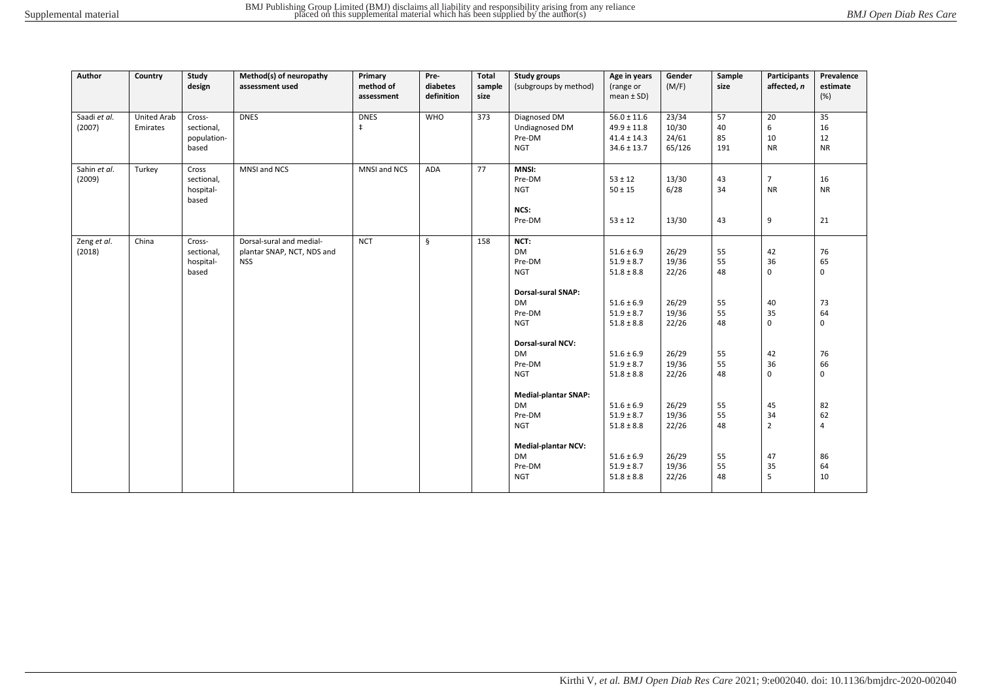| Author                 | Country                        | Study<br>design                              | Method(s) of neuropathy<br>assessment used                           | Primary<br>method of<br>assessment | Pre-<br>diabetes<br>definition | Total<br>sample<br>size | <b>Study groups</b><br>(subgroups by method)                                                                                                                                                                                                                                                                 | Age in years<br>(range or<br>mean $\pm$ SD)                                                                                                                                                                                                                                | Gender<br>(M/F)                                                                                                                     | Sample<br>size                                                                         | Participants<br>affected, n                                                                              | Prevalence<br>estimate<br>(%)                                                                                       |
|------------------------|--------------------------------|----------------------------------------------|----------------------------------------------------------------------|------------------------------------|--------------------------------|-------------------------|--------------------------------------------------------------------------------------------------------------------------------------------------------------------------------------------------------------------------------------------------------------------------------------------------------------|----------------------------------------------------------------------------------------------------------------------------------------------------------------------------------------------------------------------------------------------------------------------------|-------------------------------------------------------------------------------------------------------------------------------------|----------------------------------------------------------------------------------------|----------------------------------------------------------------------------------------------------------|---------------------------------------------------------------------------------------------------------------------|
| Saadi et al.<br>(2007) | <b>United Arab</b><br>Emirates | Cross-<br>sectional,<br>population-<br>based | <b>DNES</b>                                                          | <b>DNES</b><br>$\ddagger$          | <b>WHO</b>                     | 373                     | Diagnosed DM<br><b>Undiagnosed DM</b><br>Pre-DM<br><b>NGT</b>                                                                                                                                                                                                                                                | $56.0 \pm 11.6$<br>$49.9 \pm 11.8$<br>$41.4 \pm 14.3$<br>$34.6 \pm 13.7$                                                                                                                                                                                                   | 23/34<br>10/30<br>24/61<br>65/126                                                                                                   | 57<br>40<br>85<br>191                                                                  | 20<br>6<br>10<br><b>NR</b>                                                                               | 35<br>16<br>12<br><b>NR</b>                                                                                         |
| Sahin et al.<br>(2009) | Turkey                         | Cross<br>sectional,<br>hospital-<br>based    | MNSI and NCS                                                         | MNSI and NCS                       | <b>ADA</b>                     | 77                      | MNSI:<br>Pre-DM<br><b>NGT</b><br>NCS:<br>Pre-DM                                                                                                                                                                                                                                                              | $53 \pm 12$<br>$50 \pm 15$<br>$53 \pm 12$                                                                                                                                                                                                                                  | 13/30<br>6/28<br>13/30                                                                                                              | 43<br>34<br>43                                                                         | $\overline{7}$<br><b>NR</b><br>9                                                                         | 16<br><b>NR</b><br>21                                                                                               |
| Zeng et al.<br>(2018)  | China                          | Cross-<br>sectional,<br>hospital-<br>based   | Dorsal-sural and medial-<br>plantar SNAP, NCT, NDS and<br><b>NSS</b> | <b>NCT</b>                         | $\mathsf{\S}$                  | 158                     | NCT:<br><b>DM</b><br>Pre-DM<br><b>NGT</b><br><b>Dorsal-sural SNAP:</b><br><b>DM</b><br>Pre-DM<br><b>NGT</b><br>Dorsal-sural NCV:<br><b>DM</b><br>Pre-DM<br><b>NGT</b><br><b>Medial-plantar SNAP:</b><br><b>DM</b><br>Pre-DM<br><b>NGT</b><br><b>Medial-plantar NCV:</b><br><b>DM</b><br>Pre-DM<br><b>NGT</b> | $51.6 \pm 6.9$<br>$51.9 \pm 8.7$<br>$51.8 \pm 8.8$<br>$51.6 \pm 6.9$<br>$51.9 \pm 8.7$<br>$51.8 \pm 8.8$<br>$51.6 \pm 6.9$<br>$51.9 \pm 8.7$<br>$51.8 \pm 8.8$<br>$51.6 \pm 6.9$<br>$51.9 \pm 8.7$<br>$51.8 \pm 8.8$<br>$51.6 \pm 6.9$<br>$51.9 \pm 8.7$<br>$51.8 \pm 8.8$ | 26/29<br>19/36<br>22/26<br>26/29<br>19/36<br>22/26<br>26/29<br>19/36<br>22/26<br>26/29<br>19/36<br>22/26<br>26/29<br>19/36<br>22/26 | 55<br>55<br>48<br>55<br>55<br>48<br>55<br>55<br>48<br>55<br>55<br>48<br>55<br>55<br>48 | 42<br>36<br>$\mathsf 0$<br>40<br>35<br>0<br>42<br>36<br>0<br>45<br>34<br>$\overline{2}$<br>47<br>35<br>5 | 76<br>65<br>$\mathsf 0$<br>73<br>64<br>0<br>76<br>66<br>$\mathsf 0$<br>82<br>62<br>$\overline{4}$<br>86<br>64<br>10 |